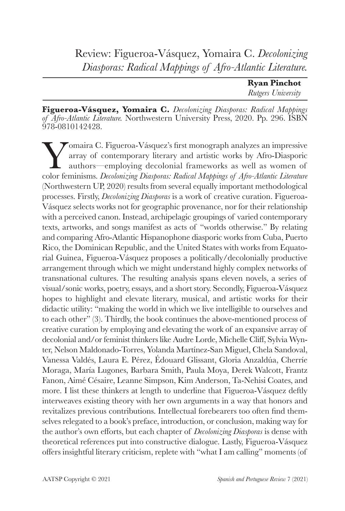## Review: Figueroa-Vásquez, Yomaira C. *Decolonizing Diasporas: Radical Mappings of Afro-Atlantic Literature.*

| <b>Ryan Pinchot</b>       |
|---------------------------|
| <b>Rutgers University</b> |

**Figueroa-Vásquez, Yomaira C.** *Decolonizing Diasporas: Radical Mappings of Afro-Atlantic Literature.* Northwestern University Press, 2020. Pp. 296. ISBN 978-0810142428.

Vomaira C. Figueroa-Vásquez's first monograph analyzes an impressive<br>array of contemporary literary and artistic works by Afro-Diasporic<br>authors—employing decolonial frameworks as well as women of<br>color feminisms. *Decolon* array of contemporary literary and artistic works by Afro-Diasporic authors—employing decolonial frameworks as well as women of color feminisms. *Decolonizing Diasporas: Radical Mappings of Afro-Atlantic Literature* (Northwestern UP, 2020) results from several equally important methodological processes. Firstly, *Decolonizing Diasporas* is a work of creative curation. Figueroa-Vásquez selects works not for geographic provenance, nor for their relationship with a perceived canon. Instead, archipelagic groupings of varied contemporary texts, artworks, and songs manifest as acts of "worlds otherwise." By relating and comparing Afro-Atlantic Hispanophone diasporic works from Cuba, Puerto Rico, the Dominican Republic, and the United States with works from Equatorial Guinea, Figueroa-Vásquez proposes a politically/decolonially productive arrangement through which we might understand highly complex networks of transnational cultures. The resulting analysis spans eleven novels, a series of visual/sonic works, poetry, essays, and a short story. Secondly, Figueroa-Vásquez hopes to highlight and elevate literary, musical, and artistic works for their didactic utility: "making the world in which we live intelligible to ourselves and to each other" (3). Thirdly, the book continues the above-mentioned process of creative curation by employing and elevating the work of an expansive array of decolonial and/or feminist thinkers like Audre Lorde, Michelle Cliff, Sylvia Wynter, Nelson Maldonado-Torres, Yolanda Martínez-San Miguel, Chela Sandoval, Vanessa Valdés, Laura E. Pérez, Édouard Glissant, Gloria Anzaldúa, Cherríe Moraga, María Lugones, Barbara Smith, Paula Moya, Derek Walcott, Frantz Fanon, Aimé Césaire, Leanne Simpson, Kim Anderson, Ta-Nehisi Coates, and more. I list these thinkers at length to underline that Figueroa-Vásquez deftly interweaves existing theory with her own arguments in a way that honors and revitalizes previous contributions. Intellectual forebearers too often find themselves relegated to a book's preface, introduction, or conclusion, making way for the author's own efforts, but each chapter of *Decolonizing Diasporas* is dense with theoretical references put into constructive dialogue. Lastly, Figueroa-Vásquez offers insightful literary criticism, replete with "what I am calling" moments (of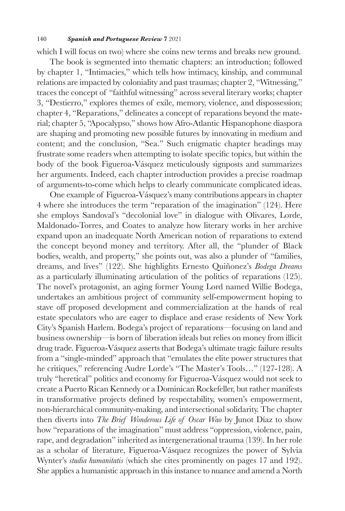## 140 *Spanish and Portuguese Review* **7** 2021

which I will focus on two) where she coins new terms and breaks new ground.

The book is segmented into thematic chapters: an introduction; followed by chapter 1, "Intimacies," which tells how intimacy, kinship, and communal relations are impacted by coloniality and past traumas; chapter 2, "Witnessing," traces the concept of "faithful witnessing" across several literary works; chapter 3, "Destierro," explores themes of exile, memory, violence, and dispossession; chapter 4, "Reparations," delineates a concept of reparations beyond the material; chapter 5, "Apocalypso," shows how Afro-Atlantic Hispanophone diaspora are shaping and promoting new possible futures by innovating in medium and content; and the conclusion, "Sea." Such enigmatic chapter headings may frustrate some readers when attempting to isolate specific topics, but within the body of the book Figueroa-Vásquez meticulously signposts and summarizes her arguments. Indeed, each chapter introduction provides a precise roadmap of arguments-to-come which helps to clearly communicate complicated ideas.

One example of Figueroa-Vásquez's many contributions appears in chapter 4 where she introduces the term "reparation of the imagination" (124). Here she employs Sandoval's "decolonial love" in dialogue with Olivares, Lorde, Maldonado-Torres, and Coates to analyze how literary works in her archive expand upon an inadequate North American notion of reparations to extend the concept beyond money and territory. After all, the "plunder of Black bodies, wealth, and property," she points out, was also a plunder of "families, dreams, and lives" (122). She highlights Ernesto Quiñonez's *Bodega Dreams*  as a particularly illuminating articulation of the politics of reparations (125). The novel's protagonist, an aging former Young Lord named Willie Bodega, undertakes an ambitious project of community self-empowerment hoping to stave off proposed development and commercialization at the hands of real estate speculators who are eager to displace and erase residents of New York City's Spanish Harlem. Bodega's project of reparations—focusing on land and business ownership—is born of liberation ideals but relies on money from illicit drug trade. Figueroa-Vásquez asserts that Bodega's ultimate tragic failure results from a "single-minded" approach that "emulates the elite power structures that he critiques," referencing Audre Lorde's "The Master's Tools…" (127-128). A truly "heretical" politics and economy for Figueroa-Vásquez would not seek to create a Puerto Rican Kennedy or a Dominican Rockefeller, but rather manifests in transformative projects defined by respectability, women's empowerment, non-hierarchical community-making, and intersectional solidarity. The chapter then diverts into *The Brief Wonderous Life of Oscar Wao* by Junot Díaz to show how "reparations of the imagination" must address "oppression, violence, pain, rape, and degradation" inherited as intergenerational trauma (139). In her role as a scholar of literature, Figueroa-Vásquez recognizes the power of Sylvia Wynter's *studia humanitatis* (which she cites prominently on pages 17 and 192). She applies a humanistic approach in this instance to nuance and amend a North